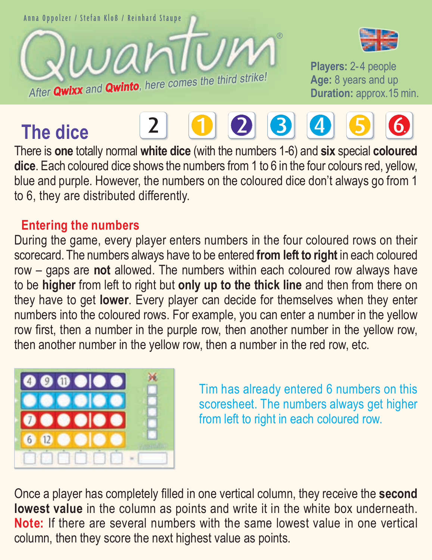















**Players:** 2-4 people Age: 8 years and up<br>**Duration:** approx 15 min.



There is **one** totally normal **white dice** (with the numbers 1-6) and **six** special **coloured dice**. Each coloured dice shows the numbers from 1 to 6 in the four colours red, yellow, blue and purple. However, the numbers on the coloured dice don't always go from 1 to 6, they are distributed differently.

## **Entering the numbers**

During the game, every player enters numbers in the four coloured rows on their scorecard. The numbers always have to be entered **from left to right** in each coloured row – gaps are **not** allowed. The numbers within each coloured row always have to be **higher** from left to right but **only up to the thick line** and then from there on they have to get **lower**. Every player can decide for themselves when they enter numbers into the coloured rows. For example, you can enter a number in the yellow row first, then a number in the purple row, then another number in the yellow row, then another number in the yellow row, then a number in the red row, etc.



Tim has already entered 6 numbers on this scoresheet. The numbers always get higher from left to right in each coloured row.

Once a player has completely filled in one vertical column, they receive the **second lowest value** in the column as points and write it in the white box underneath. **Note:** If there are several numbers with the same lowest value in one vertical column, then they score the next highest value as points.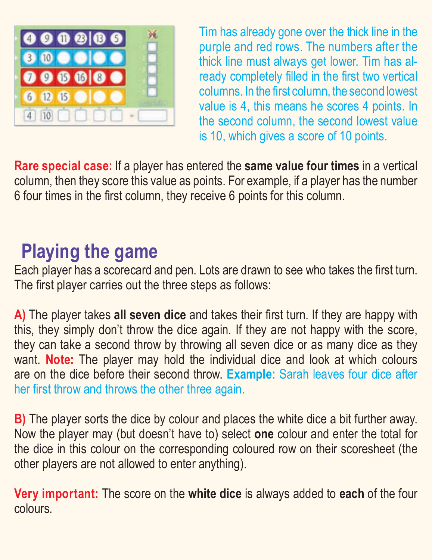

Tim has already gone over the thick line in the purple and red rows. The numbers after the thick line must always get lower. Tim has already completely filled in the first two vertical columns. In the first column, the second lowest value is 4, this means he scores 4 points. In the second column, the second lowest value is 10, which gives a score of 10 points.

**Rare special case:** If a player has entered the **same value four times** in a vertical column, then they score this value as points. For example, if a player has the number 6 four times in the first column, they receive 6 points for this column.

## **Playing the game**

Each player has a scorecard and pen. Lots are drawn to see who takes the first turn. The first player carries out the three steps as follows:

**A)** The player takes **all seven dice** and takes their first turn. If they are happy with this, they simply don't throw the dice again. If they are not happy with the score, they can take a second throw by throwing all seven dice or as many dice as they want. **Note:** The player may hold the individual dice and look at which colours are on the dice before their second throw. **Example:** Sarah leaves four dice after her first throw and throws the other three again.

**B)** The player sorts the dice by colour and places the white dice a bit further away. Now the player may (but doesn't have to) select **one** colour and enter the total for the dice in this colour on the corresponding coloured row on their scoresheet (the other players are not allowed to enter anything).

**Very important:** The score on the **white dice** is always added to **each** of the four colours.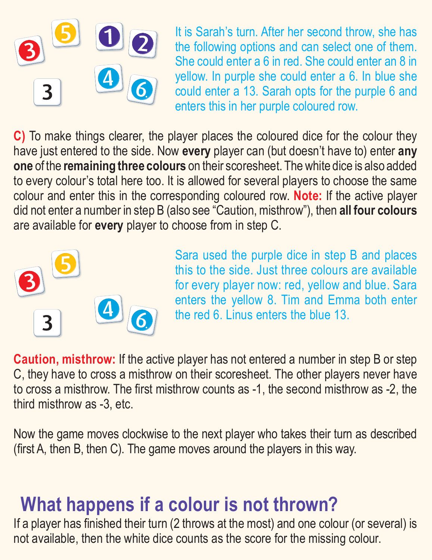

It is Sarah's turn. After her second throw, she has the following options and can select one of them. She could enter a 6 in red. She could enter an 8 in yellow. In purple she could enter a 6. In blue she could enter a 13. Sarah opts for the purple 6 and enters this in her purple coloured row.

**C)** To make things clearer, the player places the coloured dice for the colour they have just entered to the side. Now **every** player can (but doesn't have to) enter **any one** of the **remaining three colours** on their scoresheet. The white dice is also added to every colour's total here too. It is allowed for several players to choose the same colour and enter this in the corresponding coloured row. **Note:** If the active player did not enter a number in step B (also see "Caution, misthrow"), then **all four colours** are available for **every** player to choose from in step C.



Sara used the purple dice in step B and places this to the side. Just three colours are available for every player now: red, yellow and blue. Sara enters the yellow 8. Tim and Emma both enter the red 6. Linus enters the blue 13.

**Caution, misthrow:** If the active player has not entered a number in step B or step C, they have to cross a misthrow on their scoresheet. The other players never have to cross a misthrow. The first misthrow counts as -1, the second misthrow as -2, the third misthrow as -3, etc.

Now the game moves clockwise to the next player who takes their turn as described (first A, then B, then C). The game moves around the players in this way.

## **What happens if a colour is not thrown?**

If a player has finished their turn (2 throws at the most) and one colour (or several) is not available, then the white dice counts as the score for the missing colour.